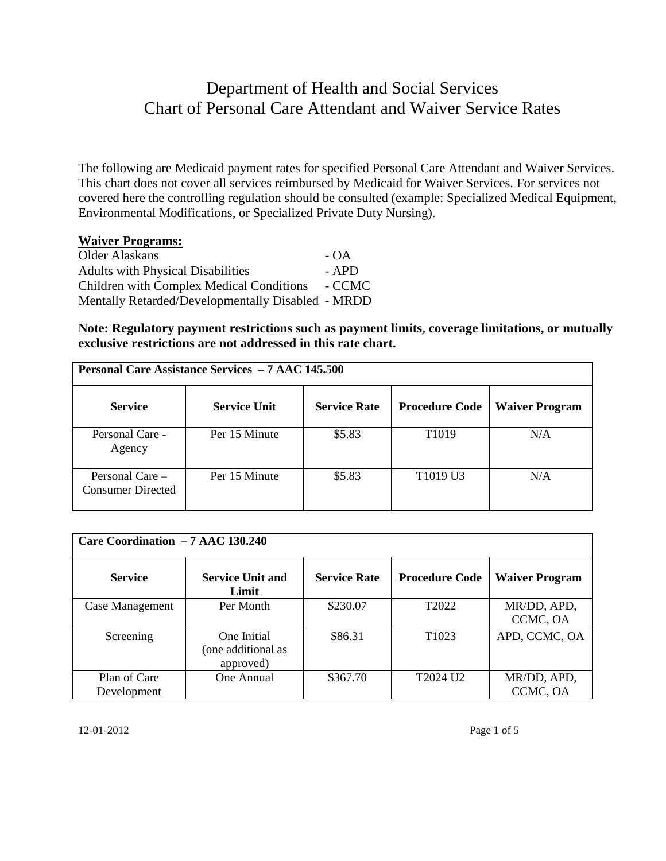## Department of Health and Social Services Chart of Personal Care Attendant and Waiver Service Rates

The following are Medicaid payment rates for specified Personal Care Attendant and Waiver Services. This chart does not cover all services reimbursed by Medicaid for Waiver Services. For services not covered here the controlling regulation should be consulted (example: Specialized Medical Equipment, Environmental Modifications, or Specialized Private Duty Nursing).

## **Waiver Programs:**

Older Alaskans - OA Adults with Physical Disabilities - APD Children with Complex Medical Conditions - CCMC Mentally Retarded/Developmentally Disabled - MRDD

**Note: Regulatory payment restrictions such as payment limits, coverage limitations, or mutually exclusive restrictions are not addressed in this rate chart.** 

| <b>Personal Care Assistance Services - 7 AAC 145.500</b> |                     |                     |                                  |                       |  |
|----------------------------------------------------------|---------------------|---------------------|----------------------------------|-----------------------|--|
| <b>Service</b>                                           | <b>Service Unit</b> | <b>Service Rate</b> | <b>Procedure Code</b>            | <b>Waiver Program</b> |  |
| Personal Care -<br>Agency                                | Per 15 Minute       | \$5.83              | T <sub>1019</sub>                | N/A                   |  |
| Personal Care $-$<br><b>Consumer Directed</b>            | Per 15 Minute       | \$5.83              | T <sub>1019</sub> U <sub>3</sub> | N/A                   |  |

| Care Coordination - 7 AAC 130.240 |                                                |                     |                       |                         |  |
|-----------------------------------|------------------------------------------------|---------------------|-----------------------|-------------------------|--|
| <b>Service</b>                    | <b>Service Unit and</b><br>Limit               | <b>Service Rate</b> | <b>Procedure Code</b> | <b>Waiver Program</b>   |  |
| Case Management                   | Per Month                                      | \$230.07            | T <sub>2022</sub>     | MR/DD, APD,<br>CCMC, OA |  |
| Screening                         | One Initial<br>(one additional as<br>approved) | \$86.31             | T <sub>1023</sub>     | APD, CCMC, OA           |  |
| Plan of Care<br>Development       | One Annual                                     | \$367.70            | T2024 U2              | MR/DD, APD,<br>CCMC, OA |  |

12-01-2012 Page 1 of 5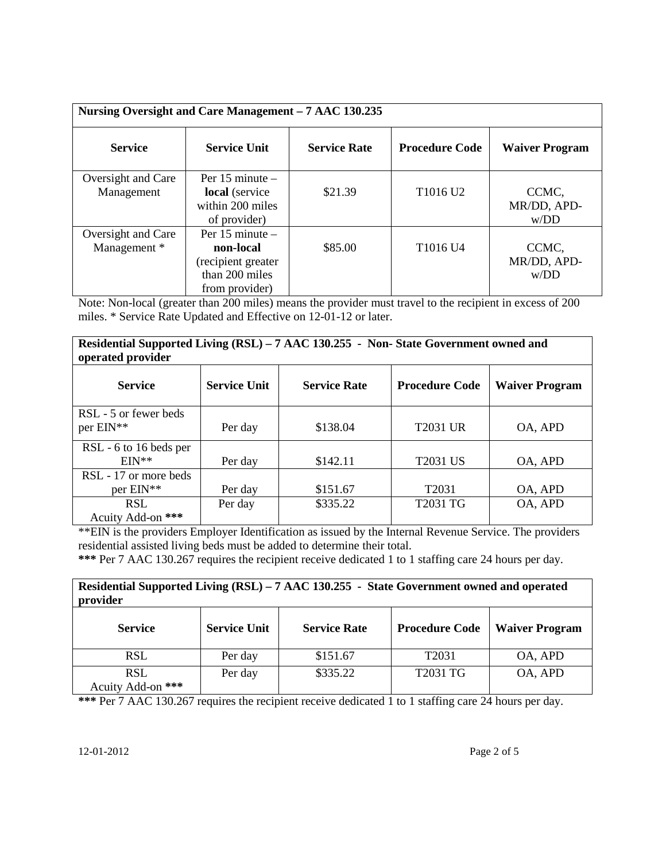| Nursing Oversight and Care Management - 7 AAC 130.235 |                                                                                            |                     |                                  |                              |
|-------------------------------------------------------|--------------------------------------------------------------------------------------------|---------------------|----------------------------------|------------------------------|
| <b>Service</b>                                        | <b>Service Unit</b>                                                                        | <b>Service Rate</b> | <b>Procedure Code</b>            | <b>Waiver Program</b>        |
| Oversight and Care<br>Management                      | Per $15$ minute $-$<br>local (service<br>within 200 miles<br>of provider)                  | \$21.39             | T <sub>1016</sub> U <sub>2</sub> | CCMC,<br>MR/DD, APD-<br>W/DD |
| Oversight and Care<br>Management *                    | Per $15$ minute $-$<br>non-local<br>(recipient greater<br>than 200 miles<br>from provider) | \$85.00             | T1016 U4                         | CCMC,<br>MR/DD, APD-<br>W/DD |

Note: Non-local (greater than 200 miles) means the provider must travel to the recipient in excess of 200 miles. \* Service Rate Updated and Effective on 12-01-12 or later.

## **Residential Supported Living (RSL) – 7 AAC 130.255 - Non- State Government owned and operated provider**

| $\sigma$ peruccu province |                     |                     |                       |                       |
|---------------------------|---------------------|---------------------|-----------------------|-----------------------|
| <b>Service</b>            | <b>Service Unit</b> | <b>Service Rate</b> | <b>Procedure Code</b> | <b>Waiver Program</b> |
| RSL - 5 or fewer beds     |                     |                     |                       |                       |
| per EIN**                 | Per day             | \$138.04            | <b>T2031 UR</b>       | OA, APD               |
| RSL - 6 to 16 beds per    |                     |                     |                       |                       |
| $EIN**$                   | Per day             | \$142.11            | T2031 US              | OA, APD               |
| RSL - 17 or more beds     |                     |                     |                       |                       |
| per EIN**                 | Per day             | \$151.67            | T <sub>2031</sub>     | OA, APD               |
| <b>RSL</b>                | Per day             | \$335.22            | T2031 TG              | OA, APD               |
| Acuity Add-on ***         |                     |                     |                       |                       |

\*\*EIN is the providers Employer Identification as issued by the Internal Revenue Service. The providers residential assisted living beds must be added to determine their total.

**\*\*\*** Per 7 AAC 130.267 requires the recipient receive dedicated 1 to 1 staffing care 24 hours per day.

| Residential Supported Living (RSL) – 7 AAC 130.255 - State Government owned and operated<br>provider |                     |                     |                       |                       |
|------------------------------------------------------------------------------------------------------|---------------------|---------------------|-----------------------|-----------------------|
| <b>Service</b>                                                                                       | <b>Service Unit</b> | <b>Service Rate</b> | <b>Procedure Code</b> | <b>Waiver Program</b> |
| <b>RSL</b>                                                                                           | Per day             | \$151.67            | T <sub>2031</sub>     | OA, APD               |
| <b>RSL</b><br>Acuity Add-on ***                                                                      | Per day             | \$335.22            | T2031 TG              | OA, APD               |

**\*\*\*** Per 7 AAC 130.267 requires the recipient receive dedicated 1 to 1 staffing care 24 hours per day.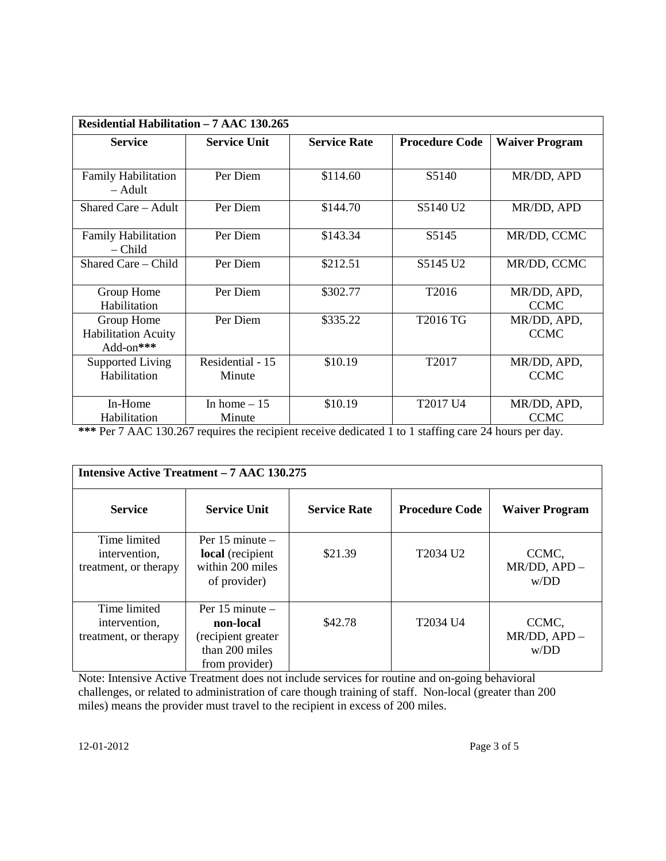| Residential Habilitation – 7 AAC 130.265              |                            |                     |                       |                            |
|-------------------------------------------------------|----------------------------|---------------------|-----------------------|----------------------------|
| <b>Service</b>                                        | <b>Service Unit</b>        | <b>Service Rate</b> | <b>Procedure Code</b> | <b>Waiver Program</b>      |
|                                                       |                            |                     |                       |                            |
| <b>Family Habilitation</b><br>$-$ Adult               | Per Diem                   | \$114.60            | S5140                 | MR/DD, APD                 |
| Shared Care – Adult                                   | Per Diem                   | \$144.70            | S5140 U <sub>2</sub>  | MR/DD, APD                 |
| <b>Family Habilitation</b><br>– Child                 | Per Diem                   | \$143.34            | S <sub>5</sub> 145    | MR/DD, CCMC                |
| Shared Care – Child                                   | Per Diem                   | \$212.51            | S5145 U2              | MR/DD, CCMC                |
| Group Home<br>Habilitation                            | Per Diem                   | \$302.77            | T2016                 | MR/DD, APD,<br><b>CCMC</b> |
| Group Home<br><b>Habilitation Acuity</b><br>Add-on*** | Per Diem                   | \$335.22            | T2016 TG              | MR/DD, APD,<br><b>CCMC</b> |
| Supported Living<br>Habilitation                      | Residential - 15<br>Minute | \$10.19             | T2017                 | MR/DD, APD,<br><b>CCMC</b> |
| In-Home<br>Habilitation                               | In home $-15$<br>Minute    | \$10.19             | T2017 U4              | MR/DD, APD,<br><b>CCMC</b> |

**\*\*\*** Per 7 AAC 130.267 requires the recipient receive dedicated 1 to 1 staffing care 24 hours per day.

|                                                        | <b>Intensive Active Treatment – 7 AAC 130.275</b>                                          |                     |                       |                               |  |
|--------------------------------------------------------|--------------------------------------------------------------------------------------------|---------------------|-----------------------|-------------------------------|--|
| <b>Service</b>                                         | <b>Service Unit</b>                                                                        | <b>Service Rate</b> | <b>Procedure Code</b> | <b>Waiver Program</b>         |  |
| Time limited<br>intervention,<br>treatment, or therapy | Per $15$ minute $-$<br>local (recipient<br>within 200 miles<br>of provider)                | \$21.39             | T2034 U <sub>2</sub>  | CCMC,<br>MR/DD, APD -<br>W/DD |  |
| Time limited<br>intervention,<br>treatment, or therapy | Per $15$ minute $-$<br>non-local<br>(recipient greater<br>than 200 miles<br>from provider) | \$42.78             | T2034 U4              | CCMC,<br>MR/DD, APD -<br>W/DD |  |

Note: Intensive Active Treatment does not include services for routine and on-going behavioral challenges, or related to administration of care though training of staff. Non-local (greater than 200 miles) means the provider must travel to the recipient in excess of 200 miles.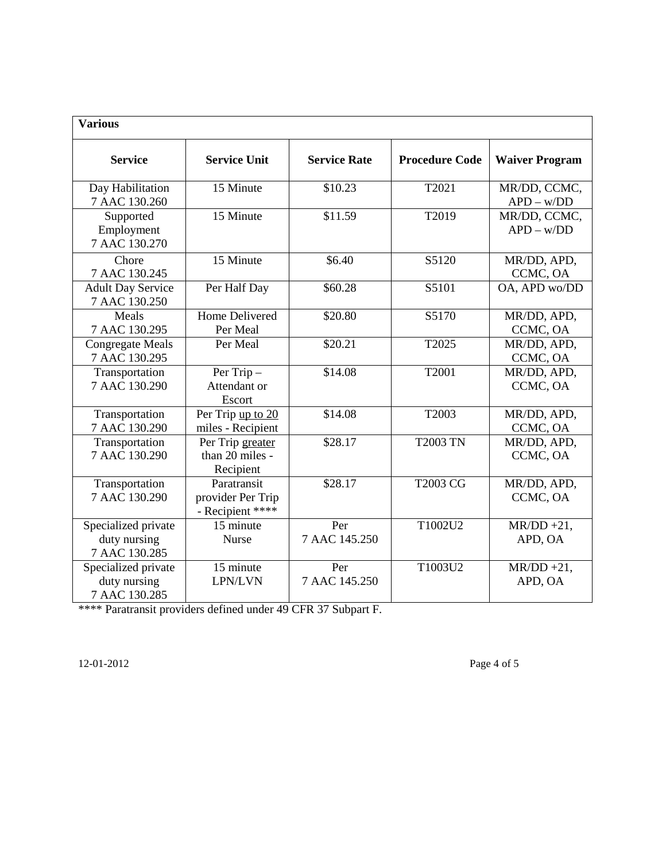| <b>Various</b>                                       |                                                      |                      |                       |                              |
|------------------------------------------------------|------------------------------------------------------|----------------------|-----------------------|------------------------------|
| <b>Service</b>                                       | <b>Service Unit</b>                                  | <b>Service Rate</b>  | <b>Procedure Code</b> | <b>Waiver Program</b>        |
| Day Habilitation<br>7 AAC 130.260                    | 15 Minute                                            | \$10.23              | T2021                 | MR/DD, CCMC,<br>$APD - w/DD$ |
| Supported<br>Employment<br>7 AAC 130.270             | 15 Minute                                            | \$11.59              | T2019                 | MR/DD, CCMC,<br>$APD - w/DD$ |
| Chore<br>7 AAC 130.245                               | 15 Minute                                            | \$6.40               | S5120                 | MR/DD, APD,<br>CCMC, OA      |
| <b>Adult Day Service</b><br>7 AAC 130.250            | Per Half Day                                         | \$60.28              | S5101                 | OA, APD wo/DD                |
| Meals<br>7 AAC 130.295                               | Home Delivered<br>Per Meal                           | \$20.80              | S5170                 | MR/DD, APD,<br>CCMC, OA      |
| <b>Congregate Meals</b><br>7 AAC 130.295             | Per Meal                                             | \$20.21              | T2025                 | MR/DD, APD,<br>CCMC, OA      |
| Transportation<br>7 AAC 130.290                      | Per Trip-<br>Attendant or<br>Escort                  | \$14.08              | T2001                 | MR/DD, APD,<br>CCMC, OA      |
| Transportation<br>7 AAC 130.290                      | Per Trip up to 20<br>miles - Recipient               | \$14.08              | T2003                 | MR/DD, APD,<br>CCMC, OA      |
| Transportation<br>7 AAC 130.290                      | Per Trip greater<br>than 20 miles -<br>Recipient     | \$28.17              | <b>T2003 TN</b>       | MR/DD, APD,<br>CCMC, OA      |
| Transportation<br>7 AAC 130.290                      | Paratransit<br>provider Per Trip<br>- Recipient **** | \$28.17              | <b>T2003 CG</b>       | MR/DD, APD,<br>CCMC, OA      |
| Specialized private<br>duty nursing<br>7 AAC 130.285 | 15 minute<br><b>Nurse</b>                            | Per<br>7 AAC 145.250 | T1002U2               | $MR/DD + 21$ ,<br>APD, OA    |
| Specialized private<br>duty nursing<br>7 AAC 130.285 | 15 minute<br>LPN/LVN                                 | Per<br>7 AAC 145.250 | T1003U2               | $MR/DD + 21$ ,<br>APD, OA    |

\*\*\*\* Paratransit providers defined under 49 CFR 37 Subpart F.

12-01-2012 Page 4 of 5